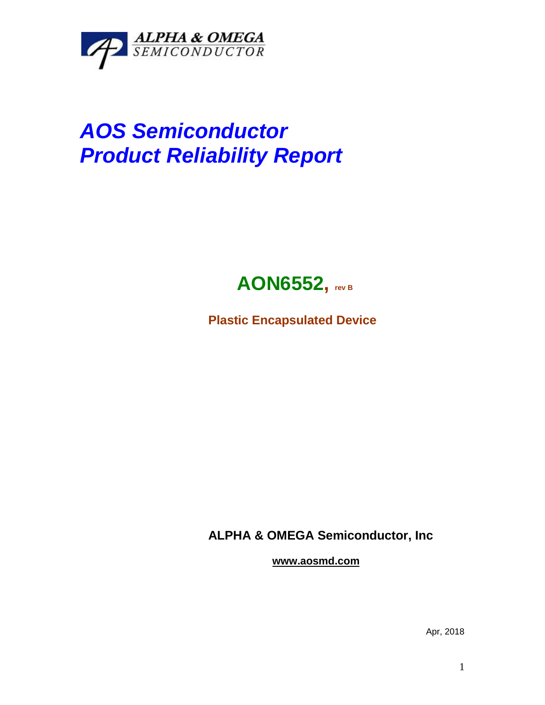

## *AOS Semiconductor Product Reliability Report*



**Plastic Encapsulated Device**

**ALPHA & OMEGA Semiconductor, Inc**

**www.aosmd.com**

Apr, 2018